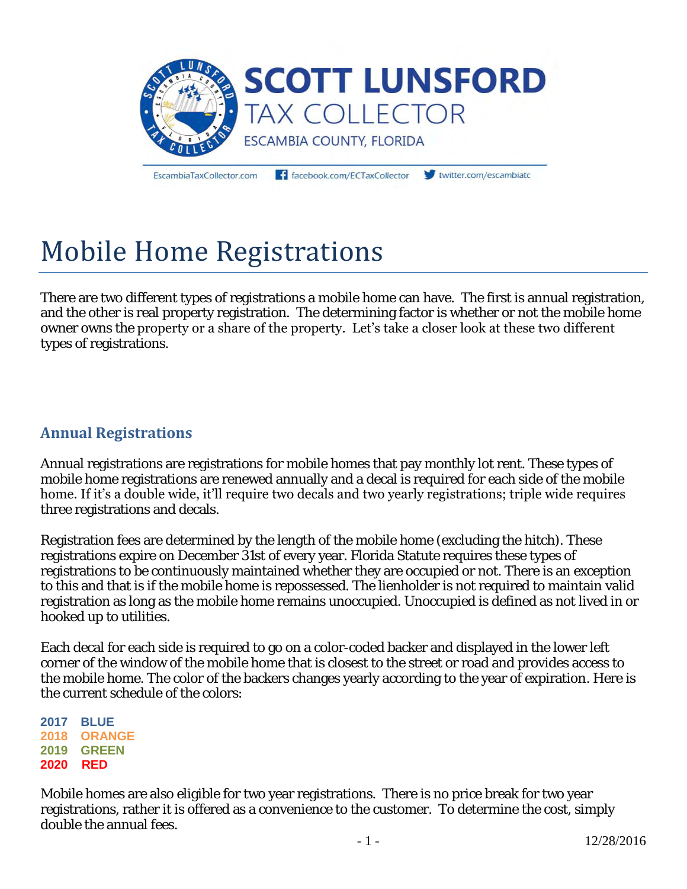

EscambiaTaxCollector.com

facebook.com/ECTaxCollector

twitter.com/escambiato

## Mobile Home Registrations

There are two different types of registrations a mobile home can have. The first is annual registration, and the other is real property registration. The determining factor is whether or not the mobile home owner owns the property or a share of the property. Let's take a closer look at these two different types of registrations.

## **Annual Registrations**

Annual registrations are registrations for mobile homes that pay monthly lot rent. These types of mobile home registrations are renewed annually and a decal is required for each side of the mobile home. If it's a double wide, it'll require two decals and two yearly registrations; triple wide requires three registrations and decals.

Registration fees are determined by the length of the mobile home (excluding the hitch). These registrations expire on December 31st of every year. Florida Statute requires these types of registrations to be continuously maintained whether they are occupied or not. There is an exception to this and that is if the mobile home is repossessed. The lienholder is not required to maintain valid registration as long as the mobile home remains unoccupied. Unoccupied is defined as not lived in or hooked up to utilities.

Each decal for each side is required to go on a color-coded backer and displayed in the lower left corner of the window of the mobile home that is closest to the street or road and provides access to the mobile home. The color of the backers changes yearly according to the year of expiration. Here is the current schedule of the colors:

**2017 BLUE 2018 ORANGE 2019 GREEN 2020 RED** 

Mobile homes are also eligible for two year registrations. There is no price break for two year registrations, rather it is offered as a convenience to the customer. To determine the cost, simply double the annual fees.